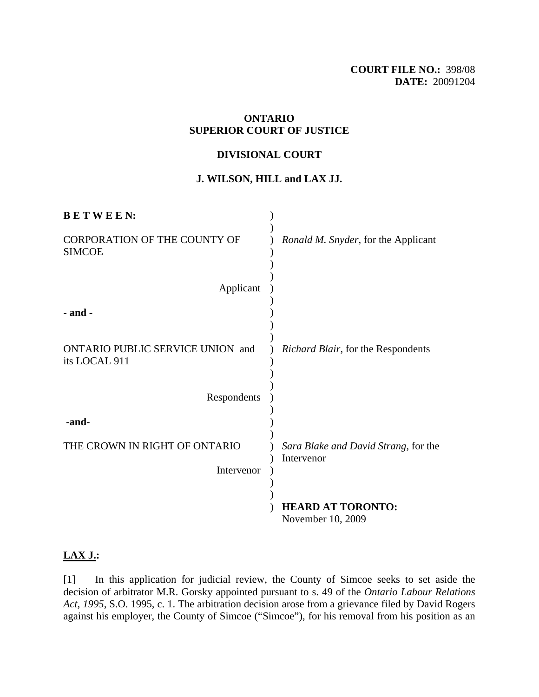## **ONTARIO SUPERIOR COURT OF JUSTICE**

#### **DIVISIONAL COURT**

# **J. WILSON, HILL and LAX JJ.**

| <b>BETWEEN:</b>                                      |                                                    |
|------------------------------------------------------|----------------------------------------------------|
| <b>CORPORATION OF THE COUNTY OF</b><br><b>SIMCOE</b> | Ronald M. Snyder, for the Applicant                |
| Applicant                                            |                                                    |
| $-$ and $-$                                          |                                                    |
| ONTARIO PUBLIC SERVICE UNION and<br>its LOCAL 911    | Richard Blair, for the Respondents                 |
| Respondents                                          |                                                    |
| -and-                                                |                                                    |
| THE CROWN IN RIGHT OF ONTARIO                        | Sara Blake and David Strang, for the<br>Intervenor |
| Intervenor                                           |                                                    |
|                                                      | <b>HEARD AT TORONTO:</b><br>November 10, 2009      |

## **LAX J.:**

[1] In this application for judicial review, the County of Simcoe seeks to set aside the decision of arbitrator M.R. Gorsky appointed pursuant to s. 49 of the *Ontario Labour Relations Act, 1995*, S.O. 1995, c. 1. The arbitration decision arose from a grievance filed by David Rogers against his employer, the County of Simcoe ("Simcoe"), for his removal from his position as an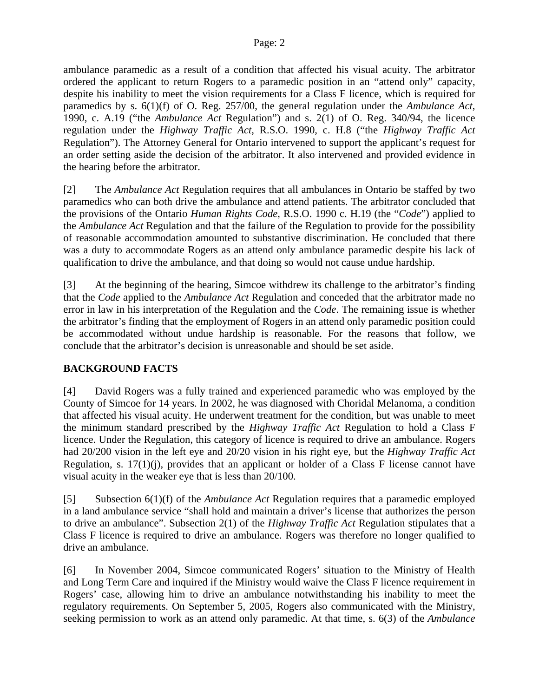#### Page: 2

ambulance paramedic as a result of a condition that affected his visual acuity. The arbitrator ordered the applicant to return Rogers to a paramedic position in an "attend only" capacity, despite his inability to meet the vision requirements for a Class F licence, which is required for paramedics by s. 6(1)(f) of O. Reg. 257/00, the general regulation under the *Ambulance Act*, 1990, c. A.19 ("the *Ambulance Act* Regulation") and s. 2(1) of O. Reg. 340/94, the licence regulation under the *Highway Traffic Act*, R.S.O. 1990, c. H.8 ("the *Highway Traffic Act*  Regulation"). The Attorney General for Ontario intervened to support the applicant's request for an order setting aside the decision of the arbitrator. It also intervened and provided evidence in the hearing before the arbitrator.

[2] The *Ambulance Act* Regulation requires that all ambulances in Ontario be staffed by two paramedics who can both drive the ambulance and attend patients. The arbitrator concluded that the provisions of the Ontario *Human Rights Code*, R.S.O. 1990 c. H.19 (the "*Code*") applied to the *Ambulance Act* Regulation and that the failure of the Regulation to provide for the possibility of reasonable accommodation amounted to substantive discrimination. He concluded that there was a duty to accommodate Rogers as an attend only ambulance paramedic despite his lack of qualification to drive the ambulance, and that doing so would not cause undue hardship.

[3] At the beginning of the hearing, Simcoe withdrew its challenge to the arbitrator's finding that the *Code* applied to the *Ambulance Act* Regulation and conceded that the arbitrator made no error in law in his interpretation of the Regulation and the *Code*. The remaining issue is whether the arbitrator's finding that the employment of Rogers in an attend only paramedic position could be accommodated without undue hardship is reasonable. For the reasons that follow, we conclude that the arbitrator's decision is unreasonable and should be set aside.

# **BACKGROUND FACTS**

[4] David Rogers was a fully trained and experienced paramedic who was employed by the County of Simcoe for 14 years. In 2002, he was diagnosed with Choridal Melanoma, a condition that affected his visual acuity. He underwent treatment for the condition, but was unable to meet the minimum standard prescribed by the *Highway Traffic Act* Regulation to hold a Class F licence. Under the Regulation, this category of licence is required to drive an ambulance. Rogers had 20/200 vision in the left eye and 20/20 vision in his right eye, but the *Highway Traffic Act* Regulation, s. 17(1)(j), provides that an applicant or holder of a Class F license cannot have visual acuity in the weaker eye that is less than 20/100.

[5] Subsection 6(1)(f) of the *Ambulance Act* Regulation requires that a paramedic employed in a land ambulance service "shall hold and maintain a driver's license that authorizes the person to drive an ambulance". Subsection 2(1) of the *Highway Traffic Act* Regulation stipulates that a Class F licence is required to drive an ambulance. Rogers was therefore no longer qualified to drive an ambulance.

[6] In November 2004, Simcoe communicated Rogers' situation to the Ministry of Health and Long Term Care and inquired if the Ministry would waive the Class F licence requirement in Rogers' case, allowing him to drive an ambulance notwithstanding his inability to meet the regulatory requirements. On September 5, 2005, Rogers also communicated with the Ministry, seeking permission to work as an attend only paramedic. At that time, s. 6(3) of the *Ambulance*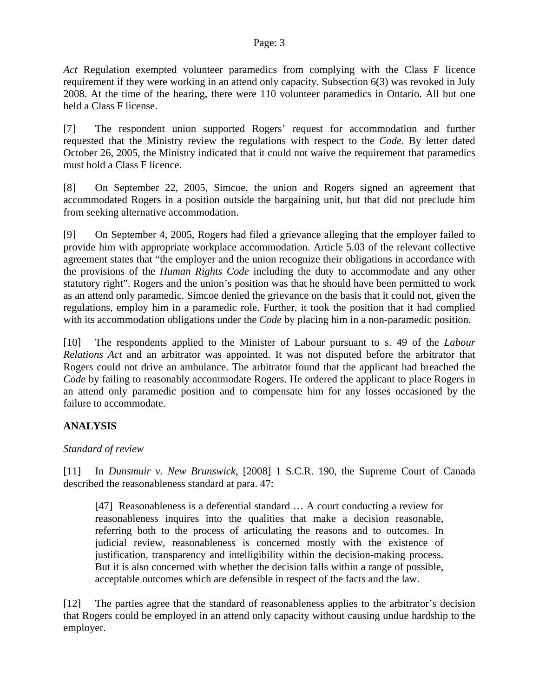#### Page: 3

*Act* Regulation exempted volunteer paramedics from complying with the Class F licence requirement if they were working in an attend only capacity. Subsection 6(3) was revoked in July 2008. At the time of the hearing, there were 110 volunteer paramedics in Ontario. All but one held a Class F license.

[7] The respondent union supported Rogers' request for accommodation and further requested that the Ministry review the regulations with respect to the *Code*. By letter dated October 26, 2005, the Ministry indicated that it could not waive the requirement that paramedics must hold a Class F licence.

[8] On September 22, 2005, Simcoe, the union and Rogers signed an agreement that accommodated Rogers in a position outside the bargaining unit, but that did not preclude him from seeking alternative accommodation.

[9] On September 4, 2005, Rogers had filed a grievance alleging that the employer failed to provide him with appropriate workplace accommodation. Article 5.03 of the relevant collective agreement states that "the employer and the union recognize their obligations in accordance with the provisions of the *Human Rights Code* including the duty to accommodate and any other statutory right". Rogers and the union's position was that he should have been permitted to work as an attend only paramedic. Simcoe denied the grievance on the basis that it could not, given the regulations, employ him in a paramedic role. Further, it took the position that it had complied with its accommodation obligations under the *Code* by placing him in a non-paramedic position.

[10] The respondents applied to the Minister of Labour pursuant to s. 49 of the *Labour Relations Act* and an arbitrator was appointed. It was not disputed before the arbitrator that Rogers could not drive an ambulance. The arbitrator found that the applicant had breached the *Code* by failing to reasonably accommodate Rogers. He ordered the applicant to place Rogers in an attend only paramedic position and to compensate him for any losses occasioned by the failure to accommodate.

# **ANALYSIS**

# *Standard of review*

[11] In *Dunsmuir v. New Brunswick*, [2008] 1 S.C.R. 190, the Supreme Court of Canada described the reasonableness standard at para. 47:

[47] Reasonableness is a deferential standard … A court conducting a review for reasonableness inquires into the qualities that make a decision reasonable, referring both to the process of articulating the reasons and to outcomes. In judicial review, reasonableness is concerned mostly with the existence of justification, transparency and intelligibility within the decision-making process. But it is also concerned with whether the decision falls within a range of possible, acceptable outcomes which are defensible in respect of the facts and the law.

[12] The parties agree that the standard of reasonableness applies to the arbitrator's decision that Rogers could be employed in an attend only capacity without causing undue hardship to the employer.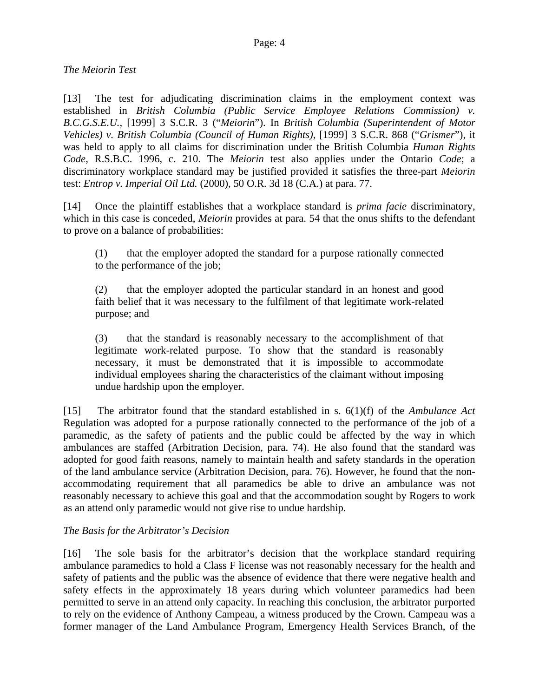# *The Meiorin Test*

[13] The test for adjudicating discrimination claims in the employment context was established in *British Columbia (Public Service Employee Relations Commission) v. B.C.G.S.E.U.*, [1999] 3 S.C.R. 3 ("*Meiorin*"). In *British Columbia (Superintendent of Motor Vehicles) v. British Columbia (Council of Human Rights)*, [1999] 3 S.C.R. 868 ("*Grismer*"), it was held to apply to all claims for discrimination under the British Columbia *Human Rights Code*, R.S.B.C. 1996, c. 210. The *Meiorin* test also applies under the Ontario *Code*; a discriminatory workplace standard may be justified provided it satisfies the three-part *Meiorin* test: *Entrop v. Imperial Oil Ltd.* (2000), 50 O.R. 3d 18 (C.A.) at para. 77.

[14] Once the plaintiff establishes that a workplace standard is *prima facie* discriminatory, which in this case is conceded, *Meiorin* provides at para. 54 that the onus shifts to the defendant to prove on a balance of probabilities:

(1) that the employer adopted the standard for a purpose rationally connected to the performance of the job;

(2) that the employer adopted the particular standard in an honest and good faith belief that it was necessary to the fulfilment of that legitimate work-related purpose; and

(3) that the standard is reasonably necessary to the accomplishment of that legitimate work-related purpose. To show that the standard is reasonably necessary, it must be demonstrated that it is impossible to accommodate individual employees sharing the characteristics of the claimant without imposing undue hardship upon the employer.

[15] The arbitrator found that the standard established in s. 6(1)(f) of the *Ambulance Act* Regulation was adopted for a purpose rationally connected to the performance of the job of a paramedic, as the safety of patients and the public could be affected by the way in which ambulances are staffed (Arbitration Decision, para. 74). He also found that the standard was adopted for good faith reasons, namely to maintain health and safety standards in the operation of the land ambulance service (Arbitration Decision, para. 76). However, he found that the nonaccommodating requirement that all paramedics be able to drive an ambulance was not reasonably necessary to achieve this goal and that the accommodation sought by Rogers to work as an attend only paramedic would not give rise to undue hardship.

# *The Basis for the Arbitrator's Decision*

[16] The sole basis for the arbitrator's decision that the workplace standard requiring ambulance paramedics to hold a Class F license was not reasonably necessary for the health and safety of patients and the public was the absence of evidence that there were negative health and safety effects in the approximately 18 years during which volunteer paramedics had been permitted to serve in an attend only capacity. In reaching this conclusion, the arbitrator purported to rely on the evidence of Anthony Campeau, a witness produced by the Crown. Campeau was a former manager of the Land Ambulance Program, Emergency Health Services Branch, of the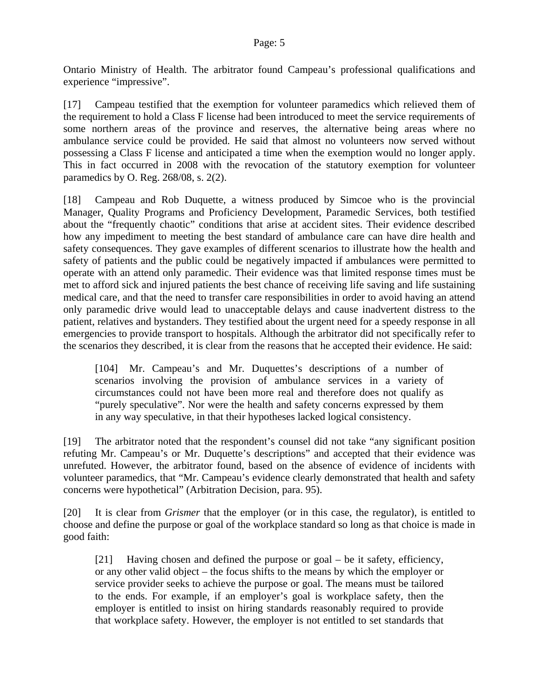Ontario Ministry of Health. The arbitrator found Campeau's professional qualifications and experience "impressive".

[17] Campeau testified that the exemption for volunteer paramedics which relieved them of the requirement to hold a Class F license had been introduced to meet the service requirements of some northern areas of the province and reserves, the alternative being areas where no ambulance service could be provided. He said that almost no volunteers now served without possessing a Class F license and anticipated a time when the exemption would no longer apply. This in fact occurred in 2008 with the revocation of the statutory exemption for volunteer paramedics by O. Reg. 268/08, s. 2(2).

[18] Campeau and Rob Duquette, a witness produced by Simcoe who is the provincial Manager, Quality Programs and Proficiency Development, Paramedic Services, both testified about the "frequently chaotic" conditions that arise at accident sites. Their evidence described how any impediment to meeting the best standard of ambulance care can have dire health and safety consequences. They gave examples of different scenarios to illustrate how the health and safety of patients and the public could be negatively impacted if ambulances were permitted to operate with an attend only paramedic. Their evidence was that limited response times must be met to afford sick and injured patients the best chance of receiving life saving and life sustaining medical care, and that the need to transfer care responsibilities in order to avoid having an attend only paramedic drive would lead to unacceptable delays and cause inadvertent distress to the patient, relatives and bystanders. They testified about the urgent need for a speedy response in all emergencies to provide transport to hospitals. Although the arbitrator did not specifically refer to the scenarios they described, it is clear from the reasons that he accepted their evidence. He said:

[104] Mr. Campeau's and Mr. Duquettes's descriptions of a number of scenarios involving the provision of ambulance services in a variety of circumstances could not have been more real and therefore does not qualify as "purely speculative". Nor were the health and safety concerns expressed by them in any way speculative, in that their hypotheses lacked logical consistency.

[19] The arbitrator noted that the respondent's counsel did not take "any significant position refuting Mr. Campeau's or Mr. Duquette's descriptions" and accepted that their evidence was unrefuted. However, the arbitrator found, based on the absence of evidence of incidents with volunteer paramedics, that "Mr. Campeau's evidence clearly demonstrated that health and safety concerns were hypothetical" (Arbitration Decision, para. 95).

[20] It is clear from *Grismer* that the employer (or in this case, the regulator), is entitled to choose and define the purpose or goal of the workplace standard so long as that choice is made in good faith:

[21] Having chosen and defined the purpose or goal – be it safety, efficiency, or any other valid object – the focus shifts to the means by which the employer or service provider seeks to achieve the purpose or goal. The means must be tailored to the ends. For example, if an employer's goal is workplace safety, then the employer is entitled to insist on hiring standards reasonably required to provide that workplace safety. However, the employer is not entitled to set standards that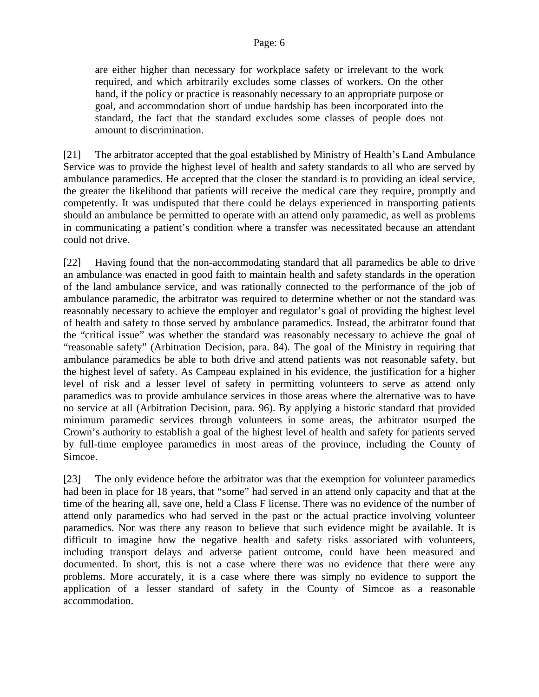#### Page: 6

are either higher than necessary for workplace safety or irrelevant to the work required, and which arbitrarily excludes some classes of workers. On the other hand, if the policy or practice is reasonably necessary to an appropriate purpose or goal, and accommodation short of undue hardship has been incorporated into the standard, the fact that the standard excludes some classes of people does not amount to discrimination.

[21] The arbitrator accepted that the goal established by Ministry of Health's Land Ambulance Service was to provide the highest level of health and safety standards to all who are served by ambulance paramedics. He accepted that the closer the standard is to providing an ideal service, the greater the likelihood that patients will receive the medical care they require, promptly and competently. It was undisputed that there could be delays experienced in transporting patients should an ambulance be permitted to operate with an attend only paramedic, as well as problems in communicating a patient's condition where a transfer was necessitated because an attendant could not drive.

[22] Having found that the non-accommodating standard that all paramedics be able to drive an ambulance was enacted in good faith to maintain health and safety standards in the operation of the land ambulance service, and was rationally connected to the performance of the job of ambulance paramedic, the arbitrator was required to determine whether or not the standard was reasonably necessary to achieve the employer and regulator's goal of providing the highest level of health and safety to those served by ambulance paramedics. Instead, the arbitrator found that the "critical issue" was whether the standard was reasonably necessary to achieve the goal of "reasonable safety" (Arbitration Decision, para. 84). The goal of the Ministry in requiring that ambulance paramedics be able to both drive and attend patients was not reasonable safety, but the highest level of safety. As Campeau explained in his evidence, the justification for a higher level of risk and a lesser level of safety in permitting volunteers to serve as attend only paramedics was to provide ambulance services in those areas where the alternative was to have no service at all (Arbitration Decision, para. 96). By applying a historic standard that provided minimum paramedic services through volunteers in some areas, the arbitrator usurped the Crown's authority to establish a goal of the highest level of health and safety for patients served by full-time employee paramedics in most areas of the province, including the County of Simcoe.

[23] The only evidence before the arbitrator was that the exemption for volunteer paramedics had been in place for 18 years, that "some" had served in an attend only capacity and that at the time of the hearing all, save one, held a Class F license. There was no evidence of the number of attend only paramedics who had served in the past or the actual practice involving volunteer paramedics. Nor was there any reason to believe that such evidence might be available. It is difficult to imagine how the negative health and safety risks associated with volunteers, including transport delays and adverse patient outcome, could have been measured and documented. In short, this is not a case where there was no evidence that there were any problems. More accurately, it is a case where there was simply no evidence to support the application of a lesser standard of safety in the County of Simcoe as a reasonable accommodation.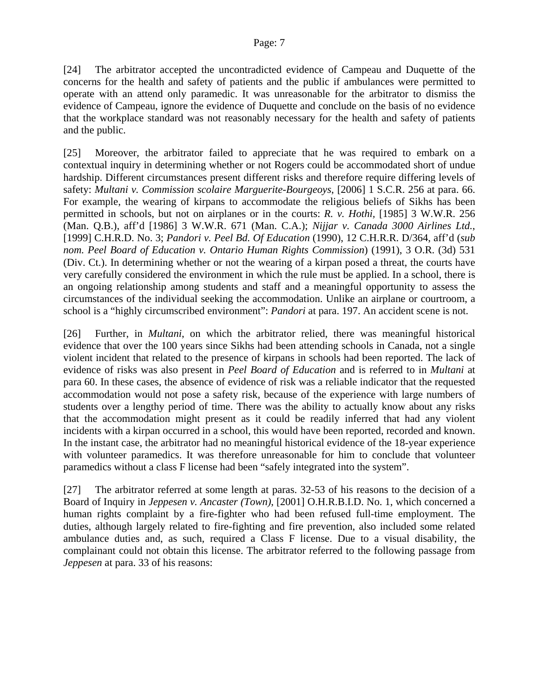[24] The arbitrator accepted the uncontradicted evidence of Campeau and Duquette of the concerns for the health and safety of patients and the public if ambulances were permitted to operate with an attend only paramedic. It was unreasonable for the arbitrator to dismiss the evidence of Campeau, ignore the evidence of Duquette and conclude on the basis of no evidence that the workplace standard was not reasonably necessary for the health and safety of patients and the public.

[25] Moreover, the arbitrator failed to appreciate that he was required to embark on a contextual inquiry in determining whether or not Rogers could be accommodated short of undue hardship. Different circumstances present different risks and therefore require differing levels of safety: *Multani v. Commission scolaire Marguerite-Bourgeoys*, [2006] 1 S.C.R. 256 at para. 66. For example, the wearing of kirpans to accommodate the religious beliefs of Sikhs has been permitted in schools, but not on airplanes or in the courts: *R. v. Hothi,* [1985] 3 W.W.R. 256 (Man. Q.B.), aff'd [1986] 3 W.W.R. 671 (Man. C.A.); *Nijjar v. Canada 3000 Airlines Ltd.*, [1999] C.H.R.D. No. 3; *Pandori v. Peel Bd. Of Education* (1990), 12 C.H.R.R. D/364, aff'd (*sub nom. Peel Board of Education v. Ontario Human Rights Commission*) (1991), 3 O.R. (3d) 531 (Div. Ct.). In determining whether or not the wearing of a kirpan posed a threat, the courts have very carefully considered the environment in which the rule must be applied. In a school, there is an ongoing relationship among students and staff and a meaningful opportunity to assess the circumstances of the individual seeking the accommodation. Unlike an airplane or courtroom, a school is a "highly circumscribed environment": *Pandori* at para. 197. An accident scene is not.

[26] Further, in *Multani*, on which the arbitrator relied, there was meaningful historical evidence that over the 100 years since Sikhs had been attending schools in Canada, not a single violent incident that related to the presence of kirpans in schools had been reported. The lack of evidence of risks was also present in *Peel Board of Education* and is referred to in *Multani* at para 60. In these cases, the absence of evidence of risk was a reliable indicator that the requested accommodation would not pose a safety risk, because of the experience with large numbers of students over a lengthy period of time. There was the ability to actually know about any risks that the accommodation might present as it could be readily inferred that had any violent incidents with a kirpan occurred in a school, this would have been reported, recorded and known. In the instant case, the arbitrator had no meaningful historical evidence of the 18-year experience with volunteer paramedics. It was therefore unreasonable for him to conclude that volunteer paramedics without a class F license had been "safely integrated into the system".

[27] The arbitrator referred at some length at paras. 32-53 of his reasons to the decision of a Board of Inquiry in *Jeppesen v. Ancaster (Town)*, [2001] O.H.R.B.I.D. No. 1, which concerned a human rights complaint by a fire-fighter who had been refused full-time employment. The duties, although largely related to fire-fighting and fire prevention, also included some related ambulance duties and, as such, required a Class F license. Due to a visual disability, the complainant could not obtain this license. The arbitrator referred to the following passage from *Jeppesen* at para. 33 of his reasons: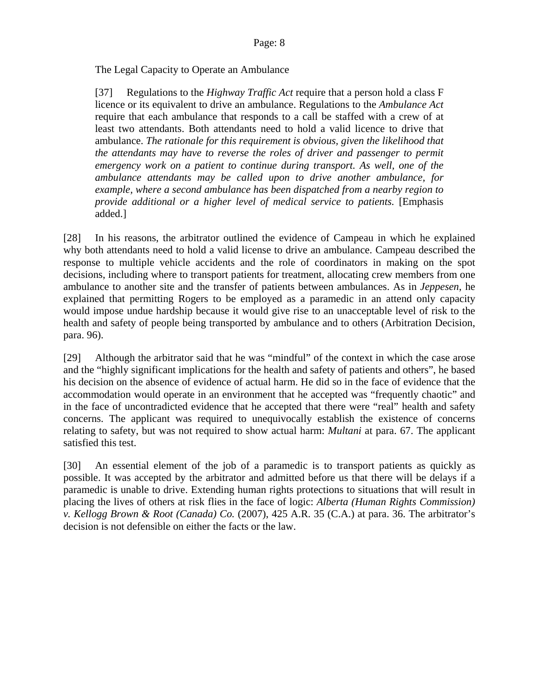The Legal Capacity to Operate an Ambulance

[37] Regulations to the *Highway Traffic Act* require that a person hold a class F licence or its equivalent to drive an ambulance. Regulations to the *Ambulance Act* require that each ambulance that responds to a call be staffed with a crew of at least two attendants. Both attendants need to hold a valid licence to drive that ambulance. *The rationale for this requirement is obvious, given the likelihood that the attendants may have to reverse the roles of driver and passenger to permit emergency work on a patient to continue during transport. As well, one of the ambulance attendants may be called upon to drive another ambulance, for example, where a second ambulance has been dispatched from a nearby region to provide additional or a higher level of medical service to patients.* [Emphasis added.]

[28] In his reasons, the arbitrator outlined the evidence of Campeau in which he explained why both attendants need to hold a valid license to drive an ambulance. Campeau described the response to multiple vehicle accidents and the role of coordinators in making on the spot decisions, including where to transport patients for treatment, allocating crew members from one ambulance to another site and the transfer of patients between ambulances. As in *Jeppesen*, he explained that permitting Rogers to be employed as a paramedic in an attend only capacity would impose undue hardship because it would give rise to an unacceptable level of risk to the health and safety of people being transported by ambulance and to others (Arbitration Decision, para. 96).

[29] Although the arbitrator said that he was "mindful" of the context in which the case arose and the "highly significant implications for the health and safety of patients and others", he based his decision on the absence of evidence of actual harm. He did so in the face of evidence that the accommodation would operate in an environment that he accepted was "frequently chaotic" and in the face of uncontradicted evidence that he accepted that there were "real" health and safety concerns. The applicant was required to unequivocally establish the existence of concerns relating to safety, but was not required to show actual harm: *Multani* at para. 67. The applicant satisfied this test.

[30] An essential element of the job of a paramedic is to transport patients as quickly as possible. It was accepted by the arbitrator and admitted before us that there will be delays if a paramedic is unable to drive. Extending human rights protections to situations that will result in placing the lives of others at risk flies in the face of logic: *Alberta (Human Rights Commission) v. Kellogg Brown & Root (Canada) Co.* (2007), 425 A.R. 35 (C.A.) at para. 36. The arbitrator's decision is not defensible on either the facts or the law.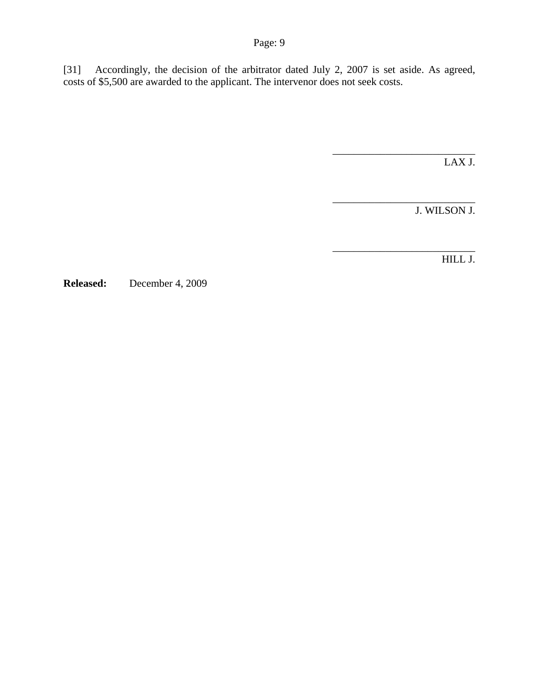[31] Accordingly, the decision of the arbitrator dated July 2, 2007 is set aside. As agreed, costs of \$5,500 are awarded to the applicant. The intervenor does not seek costs.

LAX J.

\_\_\_\_\_\_\_\_\_\_\_\_\_\_\_\_\_\_\_\_\_\_\_\_\_\_\_ J. WILSON J.

\_\_\_\_\_\_\_\_\_\_\_\_\_\_\_\_\_\_\_\_\_\_\_\_\_\_\_

\_\_\_\_\_\_\_\_\_\_\_\_\_\_\_\_\_\_\_\_\_\_\_\_\_\_\_

HILL J.

**Released:** December 4, 2009